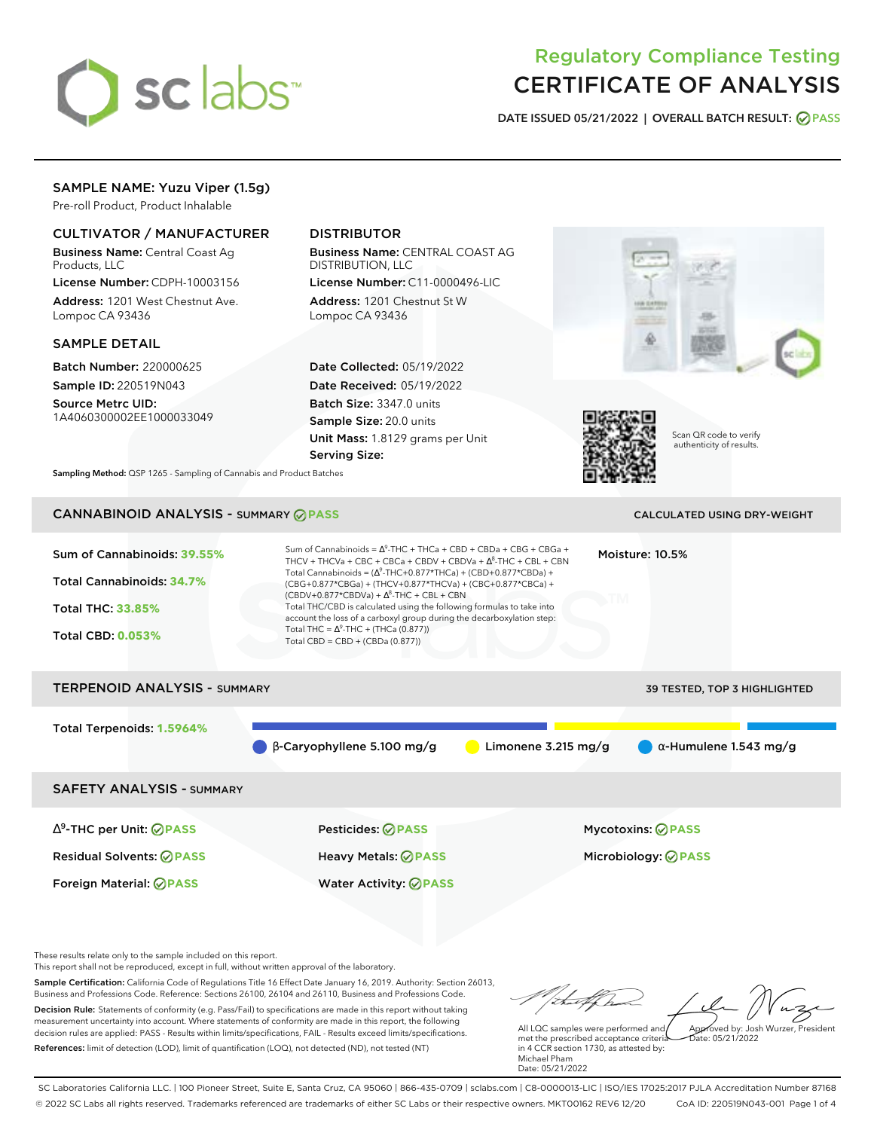

# Regulatory Compliance Testing CERTIFICATE OF ANALYSIS

**DATE ISSUED 05/21/2022 | OVERALL BATCH RESULT: PASS**

## SAMPLE NAME: Yuzu Viper (1.5g)

Pre-roll Product, Product Inhalable

## CULTIVATOR / MANUFACTURER

Business Name: Central Coast Ag Products, LLC

License Number: CDPH-10003156 Address: 1201 West Chestnut Ave. Lompoc CA 93436

### SAMPLE DETAIL

Batch Number: 220000625 Sample ID: 220519N043

Source Metrc UID: 1A4060300002EE1000033049

# DISTRIBUTOR

Business Name: CENTRAL COAST AG DISTRIBUTION, LLC

License Number: C11-0000496-LIC Address: 1201 Chestnut St W Lompoc CA 93436

Date Collected: 05/19/2022 Date Received: 05/19/2022 Batch Size: 3347.0 units Sample Size: 20.0 units Unit Mass: 1.8129 grams per Unit Serving Size:





Scan QR code to verify authenticity of results.

**Sampling Method:** QSP 1265 - Sampling of Cannabis and Product Batches

# CANNABINOID ANALYSIS - SUMMARY **PASS** CALCULATED USING DRY-WEIGHT

| Sum of Cannabinoids: 39.55%<br>Total Cannabinoids: 34.7%<br><b>Total THC: 33.85%</b><br><b>Total CBD: 0.053%</b> | Sum of Cannabinoids = $\Delta^9$ -THC + THCa + CBD + CBDa + CBG + CBGa +<br>THCV + THCVa + CBC + CBCa + CBDV + CBDVa + $\Delta^8$ -THC + CBL + CBN<br>Total Cannabinoids = $(\Delta^9$ -THC+0.877*THCa) + (CBD+0.877*CBDa) +<br>(CBG+0.877*CBGa) + (THCV+0.877*THCVa) + (CBC+0.877*CBCa) +<br>$(CBDV+0.877*CBDVa) + \Delta^8$ -THC + CBL + CBN<br>Total THC/CBD is calculated using the following formulas to take into<br>account the loss of a carboxyl group during the decarboxylation step:<br>Total THC = $\Delta^9$ -THC + (THCa (0.877))<br>Total CBD = CBD + (CBDa (0.877)) |                     | Moisture: 10.5%                                 |  |  |
|------------------------------------------------------------------------------------------------------------------|--------------------------------------------------------------------------------------------------------------------------------------------------------------------------------------------------------------------------------------------------------------------------------------------------------------------------------------------------------------------------------------------------------------------------------------------------------------------------------------------------------------------------------------------------------------------------------------|---------------------|-------------------------------------------------|--|--|
| <b>TERPENOID ANALYSIS - SUMMARY</b><br><b>39 TESTED, TOP 3 HIGHLIGHTED</b>                                       |                                                                                                                                                                                                                                                                                                                                                                                                                                                                                                                                                                                      |                     |                                                 |  |  |
| Total Terpenoids: 1.5964%                                                                                        | $\beta$ -Caryophyllene 5.100 mg/g                                                                                                                                                                                                                                                                                                                                                                                                                                                                                                                                                    | Limonene 3.215 mg/g | $\alpha$ -Humulene 1.543 mg/g                   |  |  |
| <b>SAFETY ANALYSIS - SUMMARY</b>                                                                                 |                                                                                                                                                                                                                                                                                                                                                                                                                                                                                                                                                                                      |                     |                                                 |  |  |
| $\Delta^9$ -THC per Unit: $\oslash$ PASS<br><b>Residual Solvents: ⊘PASS</b>                                      | Pesticides: ⊘PASS<br>Heavy Metals: @PASS                                                                                                                                                                                                                                                                                                                                                                                                                                                                                                                                             |                     | <b>Mycotoxins: ⊘PASS</b><br>Microbiology: @PASS |  |  |

These results relate only to the sample included on this report.

This report shall not be reproduced, except in full, without written approval of the laboratory.

Sample Certification: California Code of Regulations Title 16 Effect Date January 16, 2019. Authority: Section 26013, Business and Professions Code. Reference: Sections 26100, 26104 and 26110, Business and Professions Code. Decision Rule: Statements of conformity (e.g. Pass/Fail) to specifications are made in this report without taking measurement uncertainty into account. Where statements of conformity are made in this report, the following decision rules are applied: PASS - Results within limits/specifications, FAIL - Results exceed limits/specifications.

Foreign Material: **PASS** Water Activity: **PASS**

References: limit of detection (LOD), limit of quantification (LOQ), not detected (ND), not tested (NT)

talkha Approved by: Josh Wurzer, President

Date: 05/21/2022

All LQC samples were performed and met the prescribed acceptance criteria in 4 CCR section 1730, as attested by: Michael Pham Date: 05/21/2022

SC Laboratories California LLC. | 100 Pioneer Street, Suite E, Santa Cruz, CA 95060 | 866-435-0709 | sclabs.com | C8-0000013-LIC | ISO/IES 17025:2017 PJLA Accreditation Number 87168 © 2022 SC Labs all rights reserved. Trademarks referenced are trademarks of either SC Labs or their respective owners. MKT00162 REV6 12/20 CoA ID: 220519N043-001 Page 1 of 4